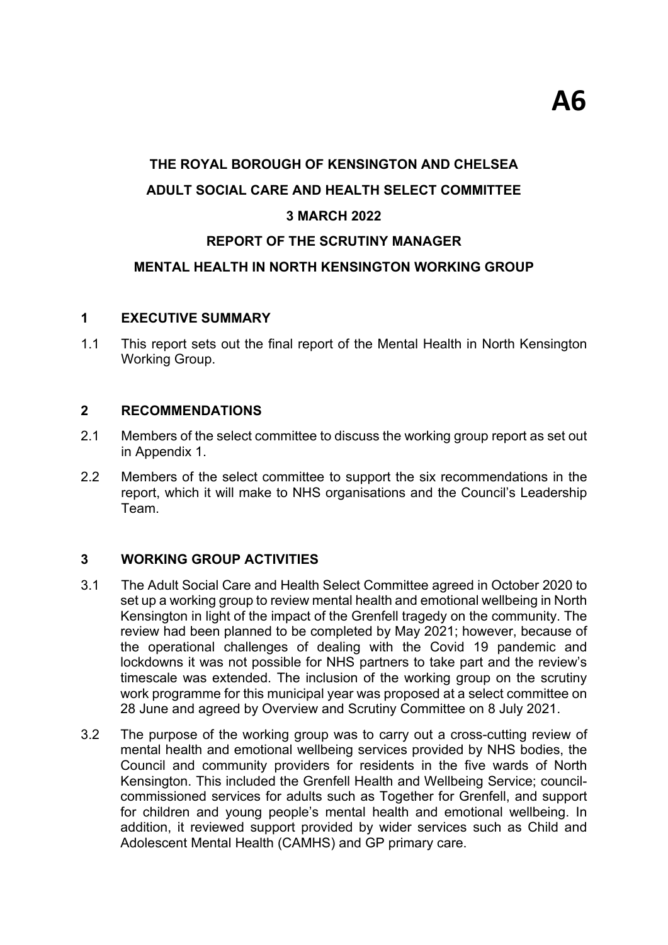# **THE ROYAL BOROUGH OF KENSINGTON AND CHELSEA ADULT SOCIAL CARE AND HEALTH SELECT COMMITTEE 3 MARCH 2022**

# **REPORT OF THE SCRUTINY MANAGER**

### **MENTAL HEALTH IN NORTH KENSINGTON WORKING GROUP**

#### **1 EXECUTIVE SUMMARY**

1.1 This report sets out the final report of the Mental Health in North Kensington Working Group.

#### **2 RECOMMENDATIONS**

- 2.1 Members of the select committee to discuss the working group report as set out in Appendix 1.
- 2.2 Members of the select committee to support the six recommendations in the report, which it will make to NHS organisations and the Council's Leadership Team.

#### **3 WORKING GROUP ACTIVITIES**

- 3.1 The Adult Social Care and Health Select Committee agreed in October 2020 to set up a working group to review mental health and emotional wellbeing in North Kensington in light of the impact of the Grenfell tragedy on the community. The review had been planned to be completed by May 2021; however, because of the operational challenges of dealing with the Covid 19 pandemic and lockdowns it was not possible for NHS partners to take part and the review's timescale was extended. The inclusion of the working group on the scrutiny work programme for this municipal year was proposed at a select committee on 28 June and agreed by Overview and Scrutiny Committee on 8 July 2021.
- 3.2 The purpose of the working group was to carry out a cross-cutting review of mental health and emotional wellbeing services provided by NHS bodies, the Council and community providers for residents in the five wards of North Kensington. This included the Grenfell Health and Wellbeing Service; councilcommissioned services for adults such as Together for Grenfell, and support for children and young people's mental health and emotional wellbeing. In addition, it reviewed support provided by wider services such as Child and Adolescent Mental Health (CAMHS) and GP primary care.